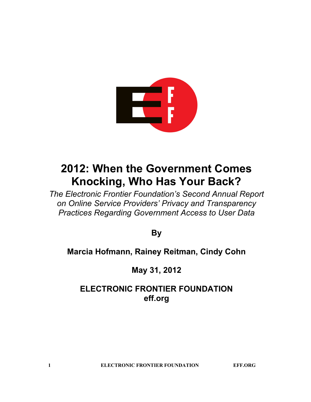

# **2012: When the Government Comes Knocking, Who Has Your Back?**

*The Electronic Frontier Foundation's Second Annual Report on Online Service Providers' Privacy and Transparency Practices Regarding Government Access to User Data*

**By**

# **Marcia Hofmann, Rainey Reitman, Cindy Cohn**

**May 31, 2012**

# **ELECTRONIC FRONTIER FOUNDATION eff.org**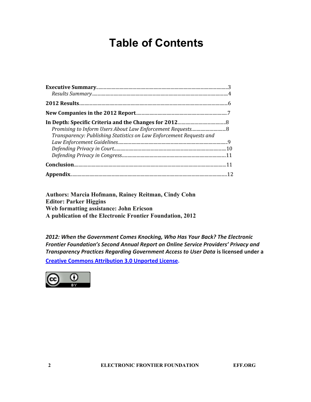# **Table of Contents**

| Transparency: Publishing Statistics on Law Enforcement Requests and |  |
|---------------------------------------------------------------------|--|
|                                                                     |  |
|                                                                     |  |

**Authors: Marcia Hofmann, Rainey Reitman, Cindy Cohn Editor: Parker Higgins Web formatting assistance: John Ericson A publication of the Electronic Frontier Foundation, 2012**

*2012: When the Government Comes Knocking, Who Has Your Back? The Electronic Frontier Foundation's Second Annual Report on Online Service Providers' Privacy and Transparency Practices Regarding Government Access to User Data* **is licensed under a [Creative](https://creativecommons.org/licenses/by/3.0/) [Commons](https://creativecommons.org/licenses/by/3.0/) [Attribution 3.0 Unported](https://creativecommons.org/licenses/by/3.0/) [License](https://creativecommons.org/licenses/by/3.0/).**

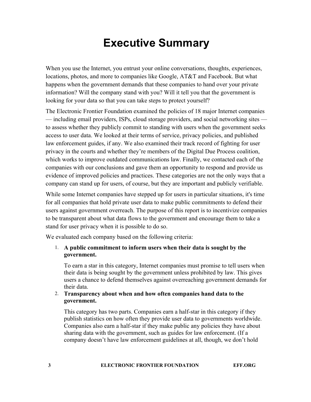# **Executive Summary**

When you use the Internet, you entrust your online conversations, thoughts, experiences, locations, photos, and more to companies like Google, AT&T and Facebook. But what happens when the government demands that these companies to hand over your private information? Will the company stand with you? Will it tell you that the government is looking for your data so that you can take steps to protect yourself?

The Electronic Frontier Foundation examined the policies of 18 major Internet companies — including email providers, ISPs, cloud storage providers, and social networking sites to assess whether they publicly commit to standing with users when the government seeks access to user data. We looked at their terms of service, privacy policies, and published law enforcement guides, if any. We also examined their track record of fighting for user privacy in the courts and whether they're members of the Digital Due Process coalition, which works to improve outdated communications law. Finally, we contacted each of the companies with our conclusions and gave them an opportunity to respond and provide us evidence of improved policies and practices. These categories are not the only ways that a company can stand up for users, of course, but they are important and publicly verifiable.

While some Internet companies have stepped up for users in particular situations, it's time for all companies that hold private user data to make public commitments to defend their users against government overreach. The purpose of this report is to incentivize companies to be transparent about what data flows to the government and encourage them to take a stand for user privacy when it is possible to do so.

We evaluated each company based on the following criteria:

### 1. **A public commitment to inform users when their data is sought by the government.**

To earn a star in this category, Internet companies must promise to tell users when their data is being sought by the government unless prohibited by law. This gives users a chance to defend themselves against overreaching government demands for their data.

#### 2. **Transparency about when and how often companies hand data to the government.**

This category has two parts. Companies earn a half-star in this category if they publish statistics on how often they provide user data to governments worldwide. Companies also earn a half-star if they make public any policies they have about sharing data with the government, such as guides for law enforcement. (If a company doesn't have law enforcement guidelines at all, though, we don't hold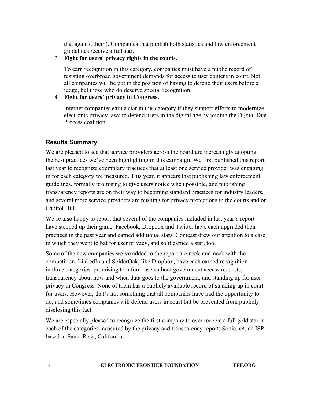that against them). Companies that publish both statistics and law enforcement guidelines receive a full star.

### 3. **Fight for users' privacy rights in the courts.**

To earn recognition in this category, companies must have a public record of resisting overbroad government demands for access to user content in court. Not all companies will be put in the position of having to defend their users before a judge, but those who do deserve special recognition.

### 4. **Fight for users' privacy in Congress.**

Internet companies earn a star in this category if they support efforts to modernize electronic privacy laws to defend users in the digital age by joining the Digital Due Process coalition.

# **Results Summary**

We are pleased to see that service providers across the board are increasingly adopting the best practices we've been highlighting in this campaign. We first published this report last year to recognize exemplary practices that at least one service provider was engaging in for each category we measured. This year, it appears that publishing law enforcement guidelines, formally promising to give users notice when possible, and publishing transparency reports are on their way to becoming standard practices for industry leaders, and several more service providers are pushing for privacy protections in the courts and on Capitol Hill.

We're also happy to report that several of the companies included in last year's report have stepped up their game. Facebook, Dropbox and Twitter have each upgraded their practices in the past year and earned additional stars. Comcast drew our attention to a case in which they went to bat for user privacy, and so it earned a star, too.

Some of the new companies we've added to the report are neck-and-neck with the competition. LinkedIn and SpiderOak, like Dropbox, have each earned recognition in three categories: promising to inform users about government access requests, transparency about how and when data goes to the government, and standing up for user privacy in Congress. None of them has a publicly available record of standing up in court for users. However, that's not something that all companies have had the opportunity to do, and sometimes companies will defend users in court but be prevented from publicly disclosing this fact.

We are especially pleased to recognize the first company to ever receive a full gold star in each of the categories measured by the privacy and transparency report: Sonic.net, an ISP based in Santa Rosa, California.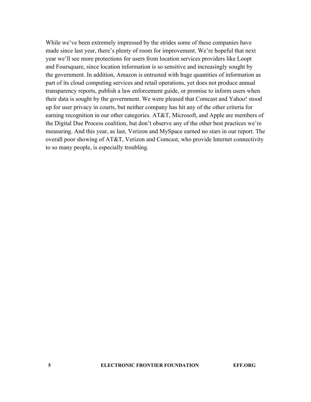While we've been extremely impressed by the strides some of these companies have made since last year, there's plenty of room for improvement. We're hopeful that next year we'll see more protections for users from location services providers like Loopt and Foursquare, since location information is so sensitive and increasingly sought by the government. In addition, Amazon is entrusted with huge quantities of information as part of its cloud computing services and retail operations, yet does not produce annual transparency reports, publish a law enforcement guide, or promise to inform users when their data is sought by the government. We were pleased that Comcast and Yahoo! stood up for user privacy in courts, but neither company has hit any of the other criteria for earning recognition in our other categories. AT&T, Microsoft, and Apple are members of the Digital Due Process coalition, but don't observe any of the other best practices we're measuring. And this year, as last, Verizon and MySpace earned no stars in our report. The overall poor showing of AT&T, Verizon and Comcast, who provide Internet connectivity to so many people, is especially troubling.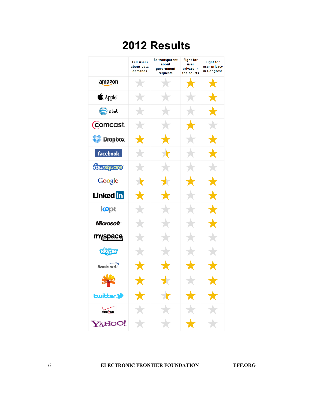# **2012 Results**

|                         | <b>Tell users</b><br>about data<br>demands | <b>Be transparent</b><br>about<br>government<br>requests | <b>Fight for</b><br>user<br>privacy in<br>the courts | <b>Fight for</b><br>user privacy<br>in Congress |
|-------------------------|--------------------------------------------|----------------------------------------------------------|------------------------------------------------------|-------------------------------------------------|
| amazon                  | $\bigstar$                                 | $\star$                                                  | $\bigstar$                                           | $\bigstar$                                      |
| $\triangle$ Apple       | $\bigstar$                                 | $\rightarrow$                                            | $\bigstar$                                           | $\bigstar$                                      |
| $\bullet$ at st         | $\bigstar$                                 | $\bigstar$                                               | $\star$                                              | $\bigstar$                                      |
| <b>Comcast</b>          | $\bigstar$                                 | $\star$                                                  | $\bigstar$                                           | $\bigstar$                                      |
| <b>Dropbox</b>          | $\bigstar$                                 | $\bigstar$                                               | $\star$                                              | $\bigstar$                                      |
| facebook.               | $\bigstar$                                 | ╈                                                        | $\bigstar$                                           | $\bigstar$                                      |
| foursquare              | $\bigstar$                                 | $\bigstar$                                               | $\bigstar$                                           | $\bigstar$                                      |
| Google                  | ╈                                          | $\bigstar$                                               | $\bigstar$                                           | $\bigstar$                                      |
| Linked in               | $\bigstar$                                 | $\bigstar$                                               | $\star$                                              | $\bigstar$                                      |
| lopt                    | $\bigstar$                                 | $\bigstar$                                               | $\bigstar$                                           | $\bigstar$                                      |
| <i><b>Microsoft</b></i> | $\bigstar$                                 | $\bigstar$                                               | $\bigstar$                                           | $\bigstar$                                      |
| myspace                 | $\bigstar$                                 | $\bigstar$                                               | $\bigstar$                                           | $\bigstar$                                      |
| <b>Elype</b>            | $\star$                                    | $\bigstar$                                               | $\star$                                              | $\star$                                         |
| Sonic.net               | $\bigstar$                                 | $\bigstar$                                               | $\bigstar$                                           | $\bigstar$                                      |
| SPIDEROAK               | ★                                          | ★                                                        |                                                      | $\bigstar$                                      |
| <b>Lwittery</b>         |                                            |                                                          | $\blacktriangledown$                                 |                                                 |
| verizon                 |                                            |                                                          |                                                      |                                                 |
| YAHOO!                  |                                            |                                                          | $\bigstar$                                           |                                                 |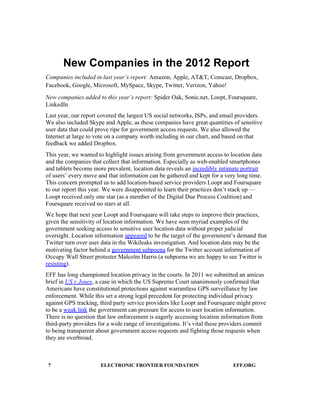# **New Companies in the 2012 Report**

*Companies included in last year's report:* Amazon, Apple, AT&T, Comcast, Dropbox, Facebook, Google, Microsoft, MySpace, Skype, Twitter, Verizon, Yahoo!

*New companies added to this year's report:* Spider Oak, Sonic.net, Loopt, Foursquare, LinkedIn

Last year, our report covered the largest US social networks, ISPs, and email providers. We also included Skype and Apple, as these companies have great quantities of sensitive user data that could prove ripe for government access requests. We also allowed the Internet at large to vote on a company worth including in our chart, and based on that feedback we added Dropbox.

This year, we wanted to highlight issues arising from government access to location data and the companies that collect that information. Especially as web-enabled smartphones and tablets become more prevalent, location data reveals an [incredibly](https://www.eff.org/deeplinks/2011/03/what-location-tracking-looks) [intimate](https://www.eff.org/deeplinks/2011/03/what-location-tracking-looks) [portrait](https://www.eff.org/deeplinks/2011/03/what-location-tracking-looks) of users' every move and that information can be gathered and kept for a very long time. This concern prompted us to add location-based service providers Loopt and Foursquare to our report this year. We were disappointed to learn their practices don't stack up — Loopt received only one star (as a member of the Digital Due Process Coalition) and Foursquare received no stars at all.

We hope that next year Loopt and Foursquare will take steps to improve their practices, given the sensitivity of location information. We have seen myriad examples of the government seeking access to sensitive user location data without proper judicial oversight. Location information [appeared](https://www.eff.org/deeplinks/2011/02/eff-argues-privacy-hearing-over-twitter-records) to be the target of the government's demand that Twitter turn over user data in the Wikileaks investigation. And location data may be the motivating factor behind a [government](https://www.eff.org/deeplinks/2012/02/malcolm-harris-occupy-wall-street-twitter-government-pressure) [subpoena](https://www.eff.org/deeplinks/2012/02/malcolm-harris-occupy-wall-street-twitter-government-pressure) for the Twitter account information of Occupy Wall Street protester Malcolm Harris (a subpoena we are happy to see Twitter is [resisting\)](https://www.eff.org/deeplinks/2012/05/NY-twitter-decision-fails-to-recognize-content-and-location).

EFF has lon[g](https://www.eff.org/cases/us-v-jones) championed location privacy in the courts. In 2011 we submitted an amicus brief in *[US](https://www.eff.org/cases/us-v-jones) [v](https://www.eff.org/cases/us-v-jones) [Jones](https://www.eff.org/cases/us-v-jones)*, a case in which the US Supreme Court unanimously confirmed that Americans have constitutional protections against warrantless GPS surveillance by law enforcement. While this set a strong legal precedent for protecting individual privacy against GPS tracking, third party service providers like Loopt and Foursquare might prove to be a [weak](https://www.eff.org/free-speech-weak-link#platforms) [link](https://www.eff.org/free-speech-weak-link#platforms) the government can pressure for access to user location information. There is no question that law enforcement is eagerly accessing location information from third-party providers for a wide range of investigations. It's vital these providers commit to being transparent about government access requests and fighting those requests when they are overbroad.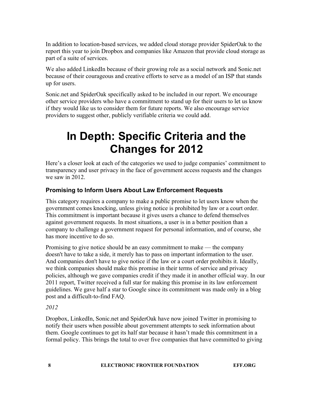In addition to location-based services, we added cloud storage provider SpiderOak to the report this year to join Dropbox and companies like Amazon that provide cloud storage as part of a suite of services.

We also added LinkedIn because of their growing role as a social network and Sonic.net because of their courageous and creative efforts to serve as a model of an ISP that stands up for users.

Sonic.net and SpiderOak specifically asked to be included in our report. We encourage other service providers who have a commitment to stand up for their users to let us know if they would like us to consider them for future reports. We also encourage service providers to suggest other, publicly verifiable criteria we could add.

# **In Depth: Specific Criteria and the Changes for 2012**

Here's a closer look at each of the categories we used to judge companies' commitment to transparency and user privacy in the face of government access requests and the changes we saw in 2012.

# **Promising to Inform Users About Law Enforcement Requests**

This category requires a company to make a public promise to let users know when the government comes knocking, unless giving notice is prohibited by law or a court order. This commitment is important because it gives users a chance to defend themselves against government requests. In most situations, a user is in a better position than a company to challenge a government request for personal information, and of course, she has more incentive to do so.

Promising to give notice should be an easy commitment to make — the company doesn't have to take a side, it merely has to pass on important information to the user. And companies don't have to give notice if the law or a court order prohibits it. Ideally, we think companies should make this promise in their terms of service and privacy policies, although we gave companies credit if they made it in another official way. In our 2011 report, Twitter received a full star for making this promise in its law enforcement guidelines. We gave half a star to Google since its commitment was made only in a blog post and a difficult-to-find FAQ.

# *2012*

Dropbox, LinkedIn, Sonic.net and SpiderOak have now joined Twitter in promising to notify their users when possible about government attempts to seek information about them. Google continues to get its half star because it hasn't made this commitment in a formal policy. This brings the total to over five companies that have committed to giving

**8 ELECTRONIC FRONTIER FOUNDATION EFF.ORG**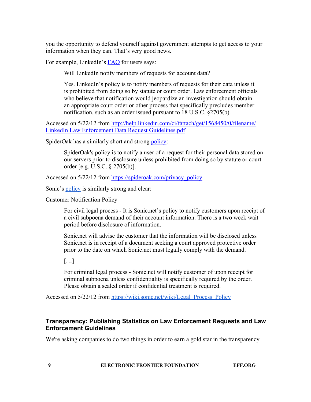you the opportunity to defend yourself against government attempts to get access to your information when they can. That's very good news.

For example, LinkedIn's **FAQ** for users says:

Will LinkedIn notify members of requests for account data?

Yes. LinkedIn's policy is to notify members of requests for their data unless it is prohibited from doing so by statute or court order. Law enforcement officials who believe that notification would jeopardize an investigation should obtain an appropriate court order or other process that specifically precludes member notification, such as an order issued pursuant to 18 U.S.C. §2705(b).

Accessed on 5/22/12 from [http://help.linkedin.com/ci/fattach/get/1568450/0/filename/](http://help.linkedin.com/ci/fattach/get/1568450/0/filename/LinkedIn%20Law%20Enforcement%20Data%20Request%20Guidelines.pdf) [LinkedIn](http://help.linkedin.com/ci/fattach/get/1568450/0/filename/LinkedIn%20Law%20Enforcement%20Data%20Request%20Guidelines.pdf) [Law](http://help.linkedin.com/ci/fattach/get/1568450/0/filename/LinkedIn%20Law%20Enforcement%20Data%20Request%20Guidelines.pdf) [Enforcement](http://help.linkedin.com/ci/fattach/get/1568450/0/filename/LinkedIn%20Law%20Enforcement%20Data%20Request%20Guidelines.pdf) [Data](http://help.linkedin.com/ci/fattach/get/1568450/0/filename/LinkedIn%20Law%20Enforcement%20Data%20Request%20Guidelines.pdf) [Request](http://help.linkedin.com/ci/fattach/get/1568450/0/filename/LinkedIn%20Law%20Enforcement%20Data%20Request%20Guidelines.pdf) [Guidelines.pdf](http://help.linkedin.com/ci/fattach/get/1568450/0/filename/LinkedIn%20Law%20Enforcement%20Data%20Request%20Guidelines.pdf)

SpiderOak has a similarly short and strong [policy:](https://spideroak.com/privacy_policy)

SpiderOak's policy is to notify a user of a request for their personal data stored on our servers prior to disclosure unless prohibited from doing so by statute or court order [e.g. U.S.C. § 2705(b)].

Accessed on 5/22/12 from [https://spideroak.com/privacy\\_policy](https://spideroak.com/privacy_policy)

Sonic's <u>policy</u> is similarly strong and clear:

Customer Notification Policy

For civil legal process - It is Sonic.net's policy to notify customers upon receipt of a civil subpoena demand of their account information. There is a two week wait period before disclosure of information.

Sonic.net will advise the customer that the information will be disclosed unless Sonic.net is in receipt of a document seeking a court approved protective order prior to the date on which Sonic.net must legally comply with the demand.

 $[...]$ 

For criminal legal process - Sonic.net will notify customer of upon receipt for criminal subpoena unless confidentiality is specifically required by the order. Please obtain a sealed order if confidential treatment is required.

Accessed on 5/22/12 from [https://wiki.sonic.net/wiki/Legal\\_Process\\_Policy](https://wiki.sonic.net/wiki/Legal_Process_Policy)

### **Transparency: Publishing Statistics on Law Enforcement Requests and Law Enforcement Guidelines**

We're asking companies to do two things in order to earn a gold star in the transparency

**9 ELECTRONIC FRONTIER FOUNDATION EFF.ORG**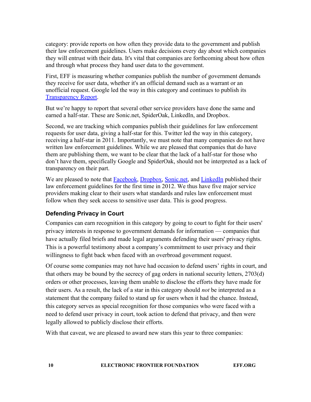category: provide reports on how often they provide data to the government and publish their law enforcement guidelines. Users make decisions every day about which companies they will entrust with their data. It's vital that companies are forthcoming about how often and through what process they hand user data to the government.

First, EFF is measuring whether companies publish the number of government demands they receive for user data, whether it's an official demand such as a warrant or an unofficial request. Google led the way in this category and continues to publish its [Transparency](http://www.google.com/transparencyreport/governmentrequests/) [Report.](http://www.google.com/transparencyreport/governmentrequests/)

But we're happy to report that several other service providers have done the same and earned a half-star. These are Sonic.net, SpiderOak, LinkedIn, and Dropbox.

Second, we are tracking which companies publish their guidelines for law enforcement requests for user data, giving a half-star for this. Twitter led the way in this category, receiving a half-star in 2011. Importantly, we must note that many companies do not have written law enforcement guidelines. While we are pleased that companies that do have them are publishing them, we want to be clear that the lack of a half-star for those who don't have them, specifically Google and SpiderOak, should not be interpreted as a lack of transparency on their part.

We are pleased to note that **Facebook**, [Dropbox,](https://dl.dropbox.com/s/77fr4t57t9g8tbo/law_enforcement_handbook.html) [Sonic.net,](http://corp.sonic.net/ceo/wp-content/uploads/2012/04/Sonic.net-Legal-Process-Policy-2012.pdf) and [LinkedIn](http://help.linkedin.com/ci/fattach/get/1568450/0/filename/LinkedIn%20Law%20Enforcement%20Data%20Request%20Guidelines.pdf) published their law enforcement guidelines for the first time in 2012. We thus have five major service providers making clear to their users what standards and rules law enforcement must follow when they seek access to sensitive user data. This is good progress.

# **Defending Privacy in Court**

Companies can earn recognition in this category by going to court to fight for their users' privacy interests in response to government demands for information — companies that have actually filed briefs and made legal arguments defending their users' privacy rights. This is a powerful testimony about a company's commitment to user privacy and their willingness to fight back when faced with an overbroad government request.

Of course some companies may not have had occasion to defend users' rights in court, and that others may be bound by the secrecy of gag orders in national security letters, 2703(d) orders or other processes, leaving them unable to disclose the efforts they have made for their users. As a result, the lack of a star in this category should *not* be interpreted as a statement that the company failed to stand up for users when it had the chance. Instead, this category serves as special recognition for those companies who were faced with a need to defend user privacy in court, took action to defend that privacy, and then were legally allowed to publicly disclose their efforts.

With that caveat, we are pleased to award new stars this year to three companies: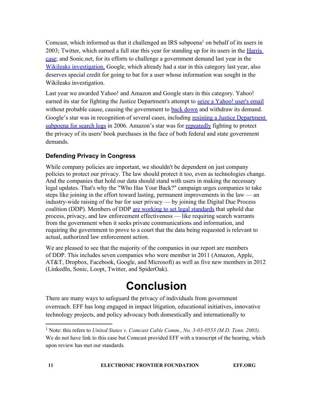Comcast, which informed us that it challenged an IRS subpoena<sup>1</sup> on behalf of its users in 2003; Twitter, which earned a full star this year for standing up for its users in the [Harris](https://www.eff.org/deeplinks/2012/05/twitter-fights-back-against-ny-judges-sweeping-order) [case;](https://www.eff.org/deeplinks/2012/05/twitter-fights-back-against-ny-judges-sweeping-order) and Sonic.net, for its efforts to challenge a government demand last year in the [Wikileaks](http://online.wsj.com/article/SB10001424052970203476804576613284007315072.html) [investigation.](http://online.wsj.com/article/SB10001424052970203476804576613284007315072.html) Google, which already had a star in this category last year, also deserves special credit for going to bat for a user whose information was sought in the Wikileaks investigation.

Last year we awarded Yahoo! and Amazon and Google stars in this category. Yahoo! earned its star for fighting the Justice Department's attempt to [seize](https://www.eff.org/cases/re-application-united-states-america-order) [a](https://www.eff.org/cases/re-application-united-states-america-order) [Yahoo! user's](https://www.eff.org/cases/re-application-united-states-america-order) [email](https://www.eff.org/cases/re-application-united-states-america-order) without probable cause, causing the government to [back](https://www.eff.org/deeplinks/2010/04/government-backs-down-yahoo-email-privacy-case) [down](https://www.eff.org/deeplinks/2010/04/government-backs-down-yahoo-email-privacy-case) and withdraw its demand. Google's star was in recognition of several cases, including [resisting](https://www.eff.org/press/archives/2006/01/19) [a](https://www.eff.org/press/archives/2006/01/19) [Justice](https://www.eff.org/press/archives/2006/01/19) [Department](https://www.eff.org/press/archives/2006/01/19) [subpoena](https://www.eff.org/press/archives/2006/01/19) [for](https://www.eff.org/press/archives/2006/01/19) [search](https://www.eff.org/press/archives/2006/01/19) [logs](https://www.eff.org/press/archives/2006/01/19) in 2006. Amazon's star was for [repeatedly](http://www.msnbc.msn.com/id/21997757/ns/us_news-security/t/feds-retreat-amazon-buyers-identities/) fighting to protect the privacy of its users' book purchases in the face of both federal and state government demands.

# **Defending Privacy in Congress**

While company policies are important, we shouldn't be dependent on just company policies to protect our privacy. The law should protect it too, even as technologies change. And the companies that hold our data should stand with users in making the necessary legal updates. That's why the "Who Has Your Back?" campaign urges companies to take steps like joining in the effort toward lasting, permanent improvements in the law — an industry-wide raising of the bar for user privacy — by joining the Digital Due Process coalition (DDP). Members of DDP [are](http://digitaldueprocess.org/index.cfm?objectid=C00D74C0-3C03-11DF-84C7000C296BA163) [working](http://digitaldueprocess.org/index.cfm?objectid=C00D74C0-3C03-11DF-84C7000C296BA163) [to](http://digitaldueprocess.org/index.cfm?objectid=C00D74C0-3C03-11DF-84C7000C296BA163) [set](http://digitaldueprocess.org/index.cfm?objectid=C00D74C0-3C03-11DF-84C7000C296BA163) [legal](http://digitaldueprocess.org/index.cfm?objectid=C00D74C0-3C03-11DF-84C7000C296BA163) [standards](http://digitaldueprocess.org/index.cfm?objectid=C00D74C0-3C03-11DF-84C7000C296BA163) that uphold due process, privacy, and law enforcement effectiveness — like requiring search warrants from the government when it seeks private communications and information, and requiring the government to prove to a court that the data being requested is relevant to actual, authorized law enforcement action.

We are pleased to see that the majority of the companies in our report are members of DDP. This includes seven companies who were member in 2011 (Amazon, Apple, AT&T, Dropbox, Facebook, Google, and Microsoft) as well as five new members in 2012 (LinkedIn, Sonic, Loopt, Twitter, and SpiderOak).

# **Conclusion**

There are many ways to safeguard the privacy of individuals from government overreach. EFF has long engaged in impact litigation, educational initiatives, innovative technology projects, and policy advocacy both domestically and internationally to

<sup>&</sup>lt;sup>1</sup> Note: this refers to *United States v. Comcast Cable Comm., No.* 3-03-0553 (M.D. Tenn. 2003). We do not have link to this case but Comcast provided EFF with a transcript of the hearing, which upon review has met our standards.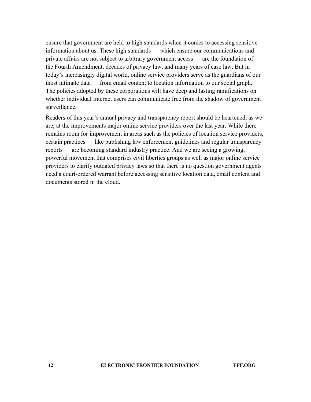ensure that government are held to high standards when it comes to accessing sensitive information about us. These high standards — which ensure our communications and private affairs are not subject to arbitrary government access — are the foundation of the Fourth Amendment, decades of privacy law, and many years of case law. But in today's increasingly digital world, online service providers serve as the guardians of our most intimate data — from email content to location information to our social graph. The policies adopted by these corporations will have deep and lasting ramifications on whether individual Internet users can communicate free from the shadow of government surveillance.

Readers of this year's annual privacy and transparency report should be heartened, as we are, at the improvements major online service providers over the last year. While there remains room for improvement in areas such as the policies of location service providers, certain practices — like publishing law enforcement guidelines and regular transparency reports — are becoming standard industry practice. And we are seeing a growing, powerful movement that comprises civil liberties groups as well as major online service providers to clarify outdated privacy laws so that there is no question government agents need a court-ordered warrant before accessing sensitive location data, email content and documents stored in the cloud.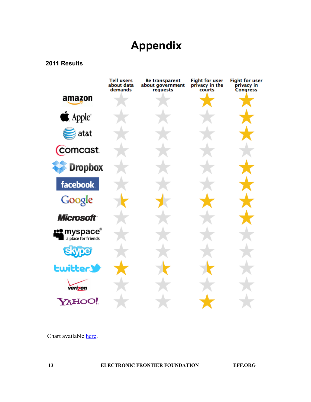# **Appendix**

### **2011 Results**



Chart available [here](https://www.eff.org/pages/when-government-comes-knocking-who-has-your-back-2011).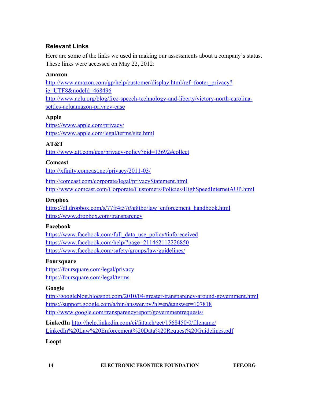# **Relevant Links**

Here are some of the links we used in making our assessments about a company's status. These links were accessed on May 22, 2012:

## **Amazon**

[http://www.amazon.com/gp/help/customer/display.html/ref=footer\\_privacy?](http://www.amazon.com/gp/help/customer/display.html/ref=footer_privacy?ie=UTF8&nodeId=468496) [ie=UTF8&nodeId=468496](http://www.amazon.com/gp/help/customer/display.html/ref=footer_privacy?ie=UTF8&nodeId=468496) [http://www.aclu.org/blog/free-speech-technology-and-liberty/victory-north-carolina](http://www.aclu.org/blog/free-speech-technology-and-liberty/victory-north-carolina-settles-acluamazon-privacy-case)[settles-acluamazon-privacy-case](http://www.aclu.org/blog/free-speech-technology-and-liberty/victory-north-carolina-settles-acluamazon-privacy-case)

# **Apple**

<https://www.apple.com/privacy/> <https://www.apple.com/legal/terms/site.html>

# **AT&T**

<http://www.att.com/gen/privacy-policy?pid=13692#collect>

### **Comcast**

<http://xfinity.comcast.net/privacy/2011-03/>

<http://comcast.com/corporate/legal/privacyStatement.html> <http://www.comcast.com/Corporate/Customers/Policies/HighSpeedInternetAUP.html>

# **Dropbox**

[https://dl.dropbox.com/s/77fr4t57t9g8tbo/law\\_enforcement\\_handbook.html](https://dl.dropbox.com/s/77fr4t57t9g8tbo/law_enforcement_handbook.html) <https://www.dropbox.com/transparency>

### **Facebook**

[https://www.facebook.com/full\\_data\\_use\\_policy#inforeceived](https://www.facebook.com/full_data_use_policy#inforeceived) <https://www.facebook.com/help/?page=211462112226850> <https://www.facebook.com/safety/groups/law/guidelines/>

### **Foursquare**

<https://foursquare.com/legal/privacy> <https://foursquare.com/legal/terms>

### **Google**

<http://googleblog.blogspot.com/2010/04/greater-transparency-around-government.html> <https://support.google.com/a/bin/answer.py?hl=en&answer=107818> <http://www.google.com/transparencyreport/governmentrequests/>

**LinkedIn** [http://help.linkedin.com/ci/fattach/get/1568450/0/filename/](http://help.linkedin.com/ci/fattach/get/1568450/0/filename/LinkedIn%20Law%20Enforcement%20Data%20Request%20Guidelines.pdf) [LinkedIn%20Law%20Enforcement%20Data%20Request%20Guidelines.pdf](http://help.linkedin.com/ci/fattach/get/1568450/0/filename/LinkedIn%20Law%20Enforcement%20Data%20Request%20Guidelines.pdf)

# **Loopt**